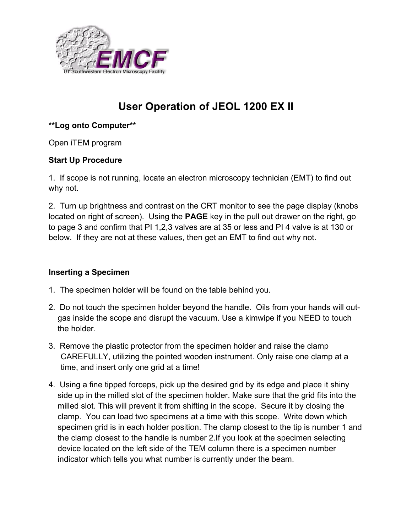

# **User Operation of JEOL 1200 EX II**

## **\*\*Log onto Computer\*\***

Open iTEM program

#### **Start Up Procedure**

1. If scope is not running, locate an electron microscopy technician (EMT) to find out why not.

2. Turn up brightness and contrast on the CRT monitor to see the page display (knobs located on right of screen). Using the **PAGE** key in the pull out drawer on the right, go to page 3 and confirm that PI 1,2,3 valves are at 35 or less and PI 4 valve is at 130 or below. If they are not at these values, then get an EMT to find out why not.

#### **Inserting a Specimen**

- 1. The specimen holder will be found on the table behind you.
- 2. Do not touch the specimen holder beyond the handle. Oils from your hands will outgas inside the scope and disrupt the vacuum. Use a kimwipe if you NEED to touch the holder.
- 3. Remove the plastic protector from the specimen holder and raise the clamp CAREFULLY, utilizing the pointed wooden instrument. Only raise one clamp at a time, and insert only one grid at a time!
- 4. Using a fine tipped forceps, pick up the desired grid by its edge and place it shiny side up in the milled slot of the specimen holder. Make sure that the grid fits into the milled slot. This will prevent it from shifting in the scope. Secure it by closing the clamp. You can load two specimens at a time with this scope. Write down which specimen grid is in each holder position. The clamp closest to the tip is number 1 and the clamp closest to the handle is number 2.If you look at the specimen selecting device located on the left side of the TEM column there is a specimen number indicator which tells you what number is currently under the beam.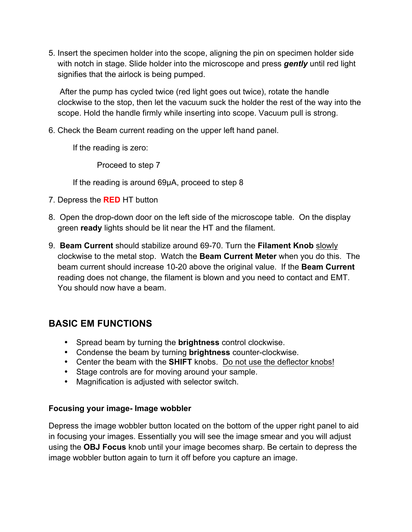5. Insert the specimen holder into the scope, aligning the pin on specimen holder side with notch in stage. Slide holder into the microscope and press *gently* until red light signifies that the airlock is being pumped.

 After the pump has cycled twice (red light goes out twice), rotate the handle clockwise to the stop, then let the vacuum suck the holder the rest of the way into the scope. Hold the handle firmly while inserting into scope. Vacuum pull is strong.

6. Check the Beam current reading on the upper left hand panel.

If the reading is zero:

Proceed to step 7

If the reading is around 69µA, proceed to step 8

- 7. Depress the **RED** HT button
- 8. Open the drop-down door on the left side of the microscope table. On the display green **ready** lights should be lit near the HT and the filament.
- 9. **Beam Current** should stabilize around 69-70. Turn the **Filament Knob** slowly clockwise to the metal stop. Watch the **Beam Current Meter** when you do this. The beam current should increase 10-20 above the original value. If the **Beam Current** reading does not change, the filament is blown and you need to contact and EMT. You should now have a beam.

# **BASIC EM FUNCTIONS**

- Spread beam by turning the **brightness** control clockwise.
- Condense the beam by turning **brightness** counter-clockwise.
- Center the beam with the **SHIFT** knobs. Do not use the deflector knobs!
- Stage controls are for moving around your sample.
- Magnification is adjusted with selector switch.

# **Focusing your image- Image wobbler**

Depress the image wobbler button located on the bottom of the upper right panel to aid in focusing your images. Essentially you will see the image smear and you will adjust using the **OBJ Focus** knob until your image becomes sharp. Be certain to depress the image wobbler button again to turn it off before you capture an image.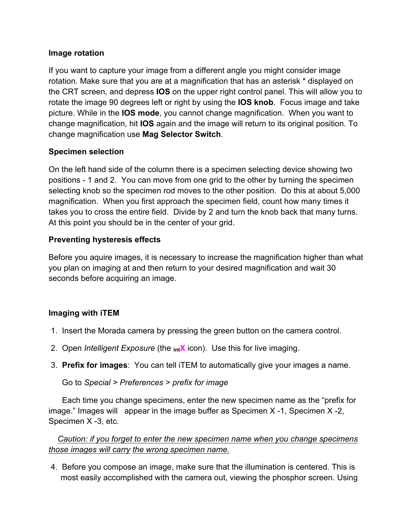#### **Image rotation**

If you want to capture your image from a different angle you might consider image rotation. Make sure that you are at a magnification that has an asterisk \* displayed on the CRT screen, and depress **IOS** on the upper right control panel. This will allow you to rotate the image 90 degrees left or right by using the **IOS knob**. Focus image and take picture. While in the **IOS mode**, you cannot change magnification. When you want to change magnification, hit **IOS** again and the image will return to its original position. To change magnification use **Mag Selector Switch**.

#### **Specimen selection**

On the left hand side of the column there is a specimen selecting device showing two positions - 1 and 2. You can move from one grid to the other by turning the specimen selecting knob so the specimen rod moves to the other position. Do this at about 5,000 magnification. When you first approach the specimen field, count how many times it takes you to cross the entire field. Divide by 2 and turn the knob back that many turns. At this point you should be in the center of your grid.

#### **Preventing hysteresis effects**

Before you aquire images, it is necessary to increase the magnification higher than what you plan on imaging at and then return to your desired magnification and wait 30 seconds before acquiring an image.

#### **Imaging with iTEM**

- 1. Insert the Morada camera by pressing the green button on the camera control.
- 2. Open *Intelligent Exposure* (the **intX** icon). Use this for live imaging.
- 3. **Prefix for images**: You can tell iTEM to automatically give your images a name.

Go to *Special > Preferences > prefix for image*

 Each time you change specimens, enter the new specimen name as the "prefix for image." Images will appear in the image buffer as Specimen X -1, Specimen X -2, Specimen X -3, etc.

 *Caution: if you forget to enter the new specimen name when you change specimens those images will carry the wrong specimen name.*

4. Before you compose an image, make sure that the illumination is centered. This is most easily accomplished with the camera out, viewing the phosphor screen. Using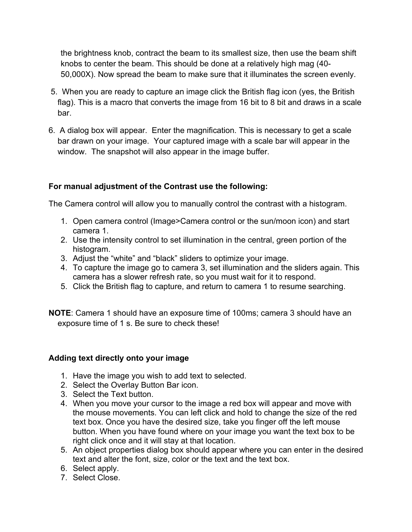the brightness knob, contract the beam to its smallest size, then use the beam shift knobs to center the beam. This should be done at a relatively high mag (40- 50,000X). Now spread the beam to make sure that it illuminates the screen evenly.

- 5. When you are ready to capture an image click the British flag icon (yes, the British flag). This is a macro that converts the image from 16 bit to 8 bit and draws in a scale bar.
- 6. A dialog box will appear. Enter the magnification. This is necessary to get a scale bar drawn on your image. Your captured image with a scale bar will appear in the window. The snapshot will also appear in the image buffer.

### **For manual adjustment of the Contrast use the following:**

The Camera control will allow you to manually control the contrast with a histogram.

- 1. Open camera control (Image>Camera control or the sun/moon icon) and start camera 1.
- 2. Use the intensity control to set illumination in the central, green portion of the histogram.
- 3. Adjust the "white" and "black" sliders to optimize your image.
- 4. To capture the image go to camera 3, set illumination and the sliders again. This camera has a slower refresh rate, so you must wait for it to respond.
- 5. Click the British flag to capture, and return to camera 1 to resume searching.

**NOTE**: Camera 1 should have an exposure time of 100ms; camera 3 should have an exposure time of 1 s. Be sure to check these!

#### **Adding text directly onto your image**

- 1. Have the image you wish to add text to selected.
- 2. Select the Overlay Button Bar icon.
- 3. Select the Text button.
- 4. When you move your cursor to the image a red box will appear and move with the mouse movements. You can left click and hold to change the size of the red text box. Once you have the desired size, take you finger off the left mouse button. When you have found where on your image you want the text box to be right click once and it will stay at that location.
- 5. An object properties dialog box should appear where you can enter in the desired text and alter the font, size, color or the text and the text box.
- 6. Select apply.
- 7. Select Close.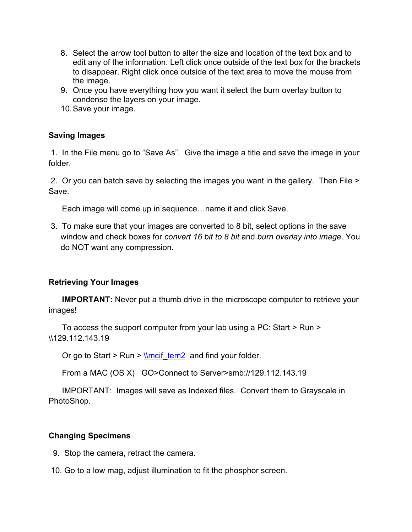- 8. Select the arrow tool button to alter the size and location of the text box and to edit any of the information. Left click once outside of the text box for the brackets to disappear. Right click once outside of the text area to move the mouse from the image.
- 9. Once you have everything how you want it select the burn overlay button to condense the layers on your image.
- 10.Save your image.

#### **Saving Images**

1. In the File menu go to "Save As". Give the image a title and save the image in your folder.

2. Or you can batch save by selecting the images you want in the gallery. Then File > Save.

Each image will come up in sequence…name it and click Save.

3. To make sure that your images are converted to 8 bit, select options in the save window and check boxes for *convert 16 bit to 8 bit* and *burn overlay into image*. You do NOT want any compression.

#### **Retrieving Your Images**

**IMPORTANT:** Never put a thumb drive in the microscope computer to retrieve your images!

 To access the support computer from your lab using a PC: Start > Run > \\129.112.143.19

Or go to Start > Run >  $\Im$  image  $\tan 2$  and find your folder.

From a MAC (OS X) GO>Connect to Server>smb://129.112.143.19

IMPORTANT:Images will save as Indexed files. Convert them to Grayscale in PhotoShop.

#### **Changing Specimens**

- 9. Stop the camera, retract the camera.
- 10. Go to a low mag, adjust illumination to fit the phosphor screen.